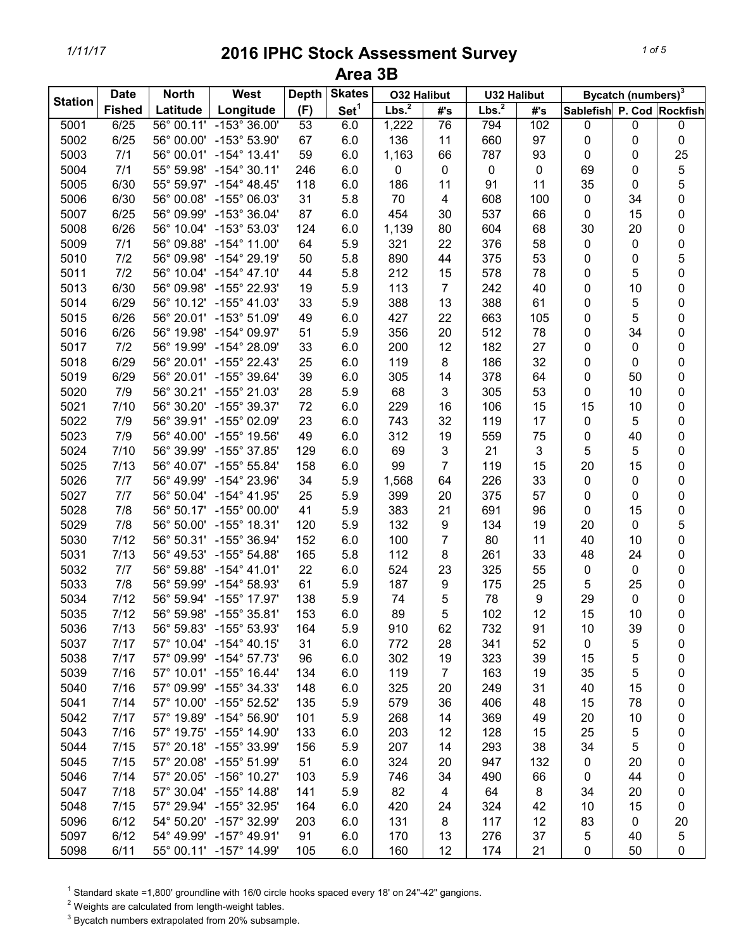| <b>Station</b> | <b>Date</b>   | <b>North</b> | West                                           | <b>Depth</b> | <b>Skates</b>    | <b>O32 Halibut</b> |                | <b>U32 Halibut</b> |     |                           | Bycatch (numbers) <sup>3</sup> |                     |
|----------------|---------------|--------------|------------------------------------------------|--------------|------------------|--------------------|----------------|--------------------|-----|---------------------------|--------------------------------|---------------------|
|                | <b>Fished</b> | Latitude     | Longitude                                      | (F)          | Set <sup>1</sup> | Lbs. <sup>2</sup>  | #'s            | Lbs. <sup>2</sup>  | #'s | Sablefish P. Cod Rockfish |                                |                     |
| 5001           | 6/25          |              | 56° 00.11' -153° 36.00'                        | 53           | 6.0              | 1,222              | 76             | 794                | 102 | 0                         | 0                              | 0                   |
| 5002           | 6/25          | 56° 00.00'   | $-153^{\circ} 53.90'$                          | 67           | 6.0              | 136                | 11             | 660                | 97  | 0                         | 0                              | 0                   |
| 5003           | 7/1           | 56° 00.01'   | $-154^{\circ}$ 13.41'                          | 59           | 6.0              | 1,163              | 66             | 787                | 93  | 0                         | 0                              | 25                  |
| 5004           | 7/1           | 55° 59.98'   | $-154^{\circ}$ 30.11'                          | 246          | 6.0              | 0                  | 0              | 0                  | 0   | 69                        | 0                              | 5                   |
| 5005           | 6/30          | 55° 59.97'   | $-154^{\circ}$ 48.45'                          | 118          | 6.0              | 186                | 11             | 91                 | 11  | 35                        | 0                              | 5                   |
| 5006           | 6/30          | 56° 00.08'   | -155° 06.03'                                   | 31           | 5.8              | 70                 | 4              | 608                | 100 | 0                         | 34                             | 0                   |
| 5007           | 6/25          | 56° 09.99'   | $-153^{\circ}36.04'$                           | 87           | 6.0              | 454                | 30             | 537                | 66  | 0                         | 15                             | 0                   |
| 5008           | 6/26          | 56° 10.04'   | -153° 53.03'                                   | 124          | 6.0              | 1,139              | 80             | 604                | 68  | 30                        | 20                             | 0                   |
| 5009           | 7/1           | 56° 09.88'   | $-154^{\circ}$ 11.00'                          | 64           | 5.9              | 321                | 22             | 376                | 58  | $\mathbf 0$               | 0                              | 0                   |
| 5010           | 7/2           | 56° 09.98'   | $-154^{\circ} 29.19'$                          | 50           | 5.8              | 890                | 44             | 375                | 53  | 0                         | 0                              | 5                   |
| 5011           | 7/2           | 56° 10.04'   | $-154^{\circ}$ 47.10'                          | 44           | 5.8              | 212                | 15             | 578                | 78  | 0                         | 5                              | $\mathsf{O}\xspace$ |
| 5013           | 6/30          | 56° 09.98'   | -155° 22.93'                                   | 19           | 5.9              | 113                | $\overline{7}$ | 242                | 40  | 0                         | 10                             | 0                   |
| 5014           | 6/29          | 56° 10.12'   | $-155^{\circ}$ 41.03'                          | 33           | 5.9              | 388                | 13             | 388                | 61  | 0                         | 5                              | 0                   |
| 5015           | 6/26          | 56° 20.01'   | $-153^{\circ}$ 51.09'                          | 49           | 6.0              | 427                | 22             | 663                | 105 | 0                         | 5                              | 0                   |
| 5016           | 6/26          | 56° 19.98'   | -154° 09.97'                                   | 51           | 5.9              | 356                | 20             | 512                | 78  | 0                         | 34                             | 0                   |
| 5017           | 7/2           | 56° 19.99'   | -154° 28.09'                                   | 33           | 6.0              | 200                | 12             | 182                | 27  | 0                         | 0                              | 0                   |
| 5018           | 6/29          |              | 56° 20.01' -155° 22.43'                        | 25           | 6.0              | 119                | 8              | 186                | 32  | 0                         | 0                              | 0                   |
| 5019           | 6/29          |              | 56° 20.01' -155° 39.64'                        | 39           | 6.0              | 305                | 14             | 378                | 64  | 0                         | 50                             | 0                   |
| 5020           | 7/9           | 56° 30.21'   | -155° 21.03'                                   | 28           | 5.9              | 68                 | 3              | 305                | 53  | 0                         | 10                             | 0                   |
| 5021           | 7/10          | 56° 30.20'   | $-155^{\circ}$ 39.37'                          | 72           | 6.0              | 229                | 16             | 106                | 15  | 15                        | 10                             | 0                   |
| 5022           | 7/9           | 56° 39.91'   | -155° 02.09'                                   | 23           | 6.0              | 743                | 32             | 119                | 17  | 0                         | 5                              | 0                   |
| 5023           | 7/9           | 56° 40.00'   | -155° 19.56'                                   | 49           | 6.0              | 312                | 19             | 559                | 75  | 0                         | 40                             | 0                   |
| 5024           | 7/10          | 56° 39.99'   | -155° 37.85'                                   | 129          | 6.0              | 69                 | 3              | 21                 | 3   | 5                         | 5                              | 0                   |
| 5025           | 7/13          | 56° 40.07'   | $-155^{\circ}55.84'$                           | 158          | 6.0              | 99                 | $\overline{7}$ | 119                | 15  | 20                        | 15                             | 0                   |
| 5026           | 7/7           | 56° 49.99'   | -154° 23.96'                                   | 34           | 5.9              | 1,568              | 64             | 226                | 33  | $\pmb{0}$                 | 0                              | 0                   |
| 5027           | 7/7           | 56° 50.04'   | $-154^{\circ}$ 41.95'                          | 25           | 5.9              | 399                | 20             | 375                | 57  | 0                         | 0                              | 0                   |
| 5028           | 7/8           | 56° 50.17'   | $-155^{\circ}$ 00.00'                          | 41           | 5.9              | 383                | 21             | 691                | 96  | $\mathbf 0$               | 15                             | 0                   |
| 5029           | 7/8           | 56° 50.00'   | $-155^{\circ}$ 18.31'                          | 120          | 5.9              | 132                | 9              | 134                | 19  | 20                        | 0                              | 5                   |
| 5030           | 7/12          | 56° 50.31'   | $-155^{\circ}$ 36.94'                          | 152          | 6.0              | 100                | $\overline{7}$ | 80                 | 11  | 40                        | 10                             | 0                   |
|                | 7/13          |              |                                                |              |                  | 112                |                | 261                |     |                           |                                |                     |
| 5031           |               | 56° 49.53'   | $-155^{\circ}$ 54.88'<br>$-154^{\circ}$ 41.01' | 165          | 5.8              |                    | 8              |                    | 33  | 48                        | 24                             | 0                   |
| 5032           | 7/7           | 56° 59.88'   |                                                | 22           | 6.0              | 524                | 23             | 325                | 55  | 0                         | 0                              | 0                   |
| 5033           | 7/8           | 56° 59.99'   | $-154^{\circ}58.93'$                           | 61           | 5.9              | 187                | 9              | 175                | 25  | 5                         | 25                             | 0                   |
| 5034           | 7/12          |              | 56° 59.94' -155° 17.97'                        | 138          | 5.9              | 74                 | 5              | 78                 | 9   | 29                        | $\pmb{0}$                      | 0                   |
| 5035           | 7/12          |              | 56° 59.98' -155° 35.81'                        | 153          | 6.0              | 89                 | 5              | 102                | 12  | 15                        | 10                             | 0                   |
| 5036           | 7/13          |              | 56° 59.83' -155° 53.93'                        | 164          | 5.9              | 910                | 62             | 732                | 91  | 10                        | 39                             | 0                   |
| 5037           | 7/17          |              | 57° 10.04' -154° 40.15'                        | 31           | 6.0              | 772                | 28             | 341                | 52  | 0                         | 5                              | 0                   |
| 5038           | 7/17          |              | 57° 09.99' -154° 57.73'                        | 96           | 6.0              | 302                | 19             | 323                | 39  | 15                        | 5                              | 0                   |
| 5039           | 7/16          |              | 57° 10.01' -155° 16.44'                        | 134          | 6.0              | 119                | $\overline{7}$ | 163                | 19  | 35                        | 5                              | 0                   |
| 5040           | 7/16          |              | 57° 09.99' -155° 34.33'                        | 148          | 6.0              | 325                | 20             | 249                | 31  | 40                        | 15                             | 0                   |
| 5041           | 7/14          |              | 57° 10.00' -155° 52.52'                        | 135          | 5.9              | 579                | 36             | 406                | 48  | 15                        | 78                             | 0                   |
| 5042           | 7/17          |              | 57° 19.89' -154° 56.90'                        | 101          | 5.9              | 268                | 14             | 369                | 49  | 20                        | 10                             | 0                   |
| 5043           | 7/16          |              | 57° 19.75' -155° 14.90'                        | 133          | 6.0              | 203                | 12             | 128                | 15  | 25                        | 5                              | 0                   |
| 5044           | 7/15          |              | 57° 20.18' -155° 33.99'                        | 156          | 5.9              | 207                | 14             | 293                | 38  | 34                        | 5                              | 0                   |
| 5045           | 7/15          |              | 57° 20.08' -155° 51.99'                        | 51           | 6.0              | 324                | 20             | 947                | 132 | 0                         | 20                             | 0                   |
| 5046           | 7/14          |              | 57° 20.05' -156° 10.27'                        | 103          | 5.9              | 746                | 34             | 490                | 66  | 0                         | 44                             | 0                   |
| 5047           | 7/18          |              | 57° 30.04' -155° 14.88'                        | 141          | 5.9              | 82                 | 4              | 64                 | 8   | 34                        | 20                             | 0                   |
| 5048           | 7/15          |              | 57° 29.94' -155° 32.95'                        | 164          | 6.0              | 420                | 24             | 324                | 42  | 10                        | 15                             | 0                   |
| 5096           | 6/12          |              | 54° 50.20' -157° 32.99'                        | 203          | 6.0              | 131                | 8              | 117                | 12  | 83                        | 0                              | 20                  |
| 5097           | 6/12          |              | 54° 49.99' -157° 49.91'                        | 91           | 6.0              | 170                | 13             | 276                | 37  | 5                         | 40                             | 5                   |
| 5098           | 6/11          |              | 55° 00.11' -157° 14.99'                        | 105          | 6.0              | 160                | 12             | 174                | 21  | 0                         | 50                             | 0                   |

 $1$  Standard skate =1,800' groundline with 16/0 circle hooks spaced every 18' on 24"-42" gangions.

 $2$  Weights are calculated from length-weight tables.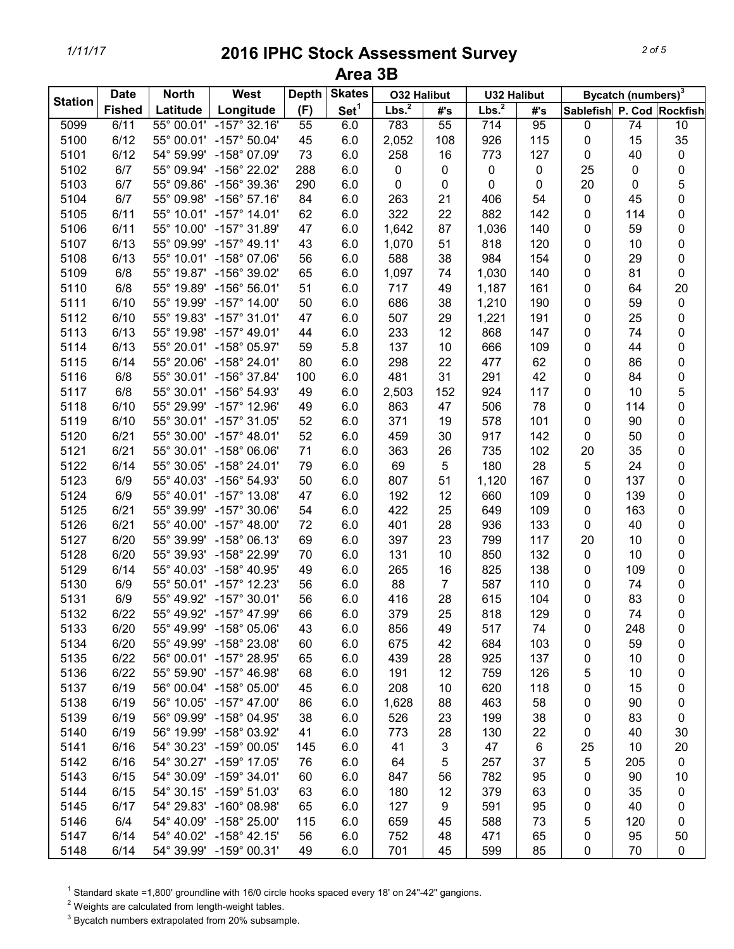| <b>Station</b> | <b>Date</b>   | <b>North</b> | West                    | <b>Depth</b> | <b>Skates</b>    | <b>O32 Halibut</b> |                | <b>U32 Halibut</b> |     |                           | Bycatch (numbers) <sup>3</sup> |                 |
|----------------|---------------|--------------|-------------------------|--------------|------------------|--------------------|----------------|--------------------|-----|---------------------------|--------------------------------|-----------------|
|                | <b>Fished</b> | Latitude     | Longitude               | (F)          | Set <sup>1</sup> | Lbs. <sup>2</sup>  | #'s            | Lbs. <sup>2</sup>  | #'s | Sablefish P. Cod Rockfish |                                |                 |
| 5099           | 6/11          | 55° 00.01'   | $-157^\circ$ 32.16'     | 55           | 6.0              | 783                | 55             | 714                | 95  | 0                         | 74                             | $\overline{10}$ |
| 5100           | 6/12          |              | 55° 00.01' -157° 50.04' | 45           | 6.0              | 2,052              | 108            | 926                | 115 | $\pmb{0}$                 | 15                             | 35              |
| 5101           | 6/12          | 54° 59.99'   | -158° 07.09'            | 73           | 6.0              | 258                | 16             | 773                | 127 | $\pmb{0}$                 | 40                             | $\pmb{0}$       |
| 5102           | 6/7           | 55° 09.94'   | -156° 22.02'            | 288          | 6.0              | 0                  | 0              | 0                  | 0   | 25                        | 0                              | 0               |
| 5103           | 6/7           | 55° 09.86'   | -156° 39.36'            | 290          | 6.0              | 0                  | 0              | 0                  | 0   | 20                        | 0                              | 5               |
| 5104           | 6/7           | 55° 09.98'   | $-156^{\circ} 57.16'$   | 84           | 6.0              | 263                | 21             | 406                | 54  | $\pmb{0}$                 | 45                             | 0               |
| 5105           | 6/11          | 55° 10.01'   | $-157^{\circ}$ 14.01'   | 62           | 6.0              | 322                | 22             | 882                | 142 | 0                         | 114                            | 0               |
| 5106           | 6/11          | 55° 10.00'   | $-157^{\circ}$ 31.89'   | 47           | 6.0              | 1,642              | 87             | 1,036              | 140 | $\pmb{0}$                 | 59                             | 0               |
| 5107           | 6/13          | 55° 09.99'   | $-157^{\circ}$ 49.11'   | 43           | 6.0              | 1,070              | 51             | 818                | 120 | 0                         | 10                             | 0               |
| 5108           | 6/13          |              | 55° 10.01' -158° 07.06' | 56           | 6.0              | 588                | 38             | 984                | 154 | 0                         | 29                             | 0               |
| 5109           | 6/8           | 55° 19.87'   | -156° 39.02'            | 65           | 6.0              | 1,097              | 74             | 1,030              | 140 | 0                         | 81                             | $\pmb{0}$       |
| 5110           | 6/8           | 55° 19.89'   | $-156^{\circ} 56.01'$   | 51           | 6.0              | 717                | 49             | 1,187              | 161 | 0                         | 64                             | 20              |
| 5111           | 6/10          | 55° 19.99'   | $-157^{\circ}$ 14.00'   | 50           | 6.0              | 686                | 38             | 1,210              | 190 | 0                         | 59                             | $\pmb{0}$       |
| 5112           | 6/10          | 55° 19.83'   | $-157^{\circ}$ 31.01'   | 47           | 6.0              | 507                | 29             | 1,221              | 191 | 0                         | 25                             | 0               |
| 5113           | 6/13          | 55° 19.98'   | $-157^{\circ}$ 49.01'   | 44           | 6.0              | 233                | 12             | 868                | 147 | 0                         | 74                             | 0               |
| 5114           | 6/13          | 55° 20.01'   | -158° 05.97'            | 59           | 5.8              | 137                | 10             | 666                | 109 | 0                         | 44                             | 0               |
| 5115           | 6/14          | 55° 20.06'   | $-158^{\circ}$ 24.01'   | 80           | 6.0              | 298                | 22             | 477                | 62  | 0                         | 86                             | 0               |
| 5116           | 6/8           | 55° 30.01'   | -156° 37.84'            | 100          | 6.0              | 481                | 31             | 291                | 42  | 0                         | 84                             | 0               |
| 5117           | 6/8           | 55° 30.01'   | -156° 54.93'            | 49           | 6.0              | 2,503              | 152            | 924                | 117 | 0                         | 10                             | 5               |
| 5118           | 6/10          | 55° 29.99'   | $-157^{\circ}$ 12.96'   | 49           | 6.0              | 863                | 47             | 506                | 78  | 0                         | 114                            | 0               |
| 5119           | 6/10          |              | 55° 30.01' -157° 31.05' | 52           | 6.0              | 371                | 19             | 578                | 101 | 0                         | 90                             | 0               |
| 5120           | 6/21          | 55° 30.00'   | $-157^{\circ}$ 48.01'   | 52           | 6.0              | 459                | 30             | 917                | 142 | 0                         | 50                             | 0               |
| 5121           | 6/21          | 55° 30.01'   | $-158^{\circ}$ 06.06'   | 71           | 6.0              | 363                | 26             | 735                | 102 | 20                        | 35                             | 0               |
| 5122           | 6/14          | 55° 30.05'   | $-158^{\circ}$ 24.01'   | 79           | 6.0              | 69                 | 5              | 180                | 28  | 5                         | 24                             | 0               |
| 5123           | 6/9           | 55° 40.03'   | -156° 54.93'            | 50           | 6.0              | 807                | 51             | 1,120              | 167 | 0                         | 137                            | 0               |
| 5124           | 6/9           | 55° 40.01'   | $-157^{\circ}$ 13.08'   | 47           | 6.0              | 192                | 12             | 660                | 109 | 0                         | 139                            | 0               |
| 5125           | 6/21          | 55° 39.99'   | $-157^{\circ}$ 30.06'   | 54           | 6.0              | 422                | 25             | 649                | 109 | $\pmb{0}$                 | 163                            | 0               |
| 5126           | 6/21          | 55° 40.00'   | $-157^{\circ}$ 48.00'   | 72           | 6.0              | 401                | 28             | 936                | 133 | 0                         | 40                             | 0               |
| 5127           | 6/20          | 55° 39.99'   | $-158^{\circ}$ 06.13'   | 69           | 6.0              | 397                | 23             | 799                | 117 | 20                        | 10                             | 0               |
| 5128           | 6/20          | 55° 39.93'   | -158° 22.99'            | 70           | 6.0              | 131                | 10             | 850                | 132 | 0                         | 10                             | 0               |
| 5129           | 6/14          | 55° 40.03'   | -158° 40.95'            | 49           | 6.0              | 265                | 16             | 825                | 138 | 0                         | 109                            | 0               |
| 5130           | 6/9           |              | 55° 50.01' -157° 12.23' | 56           | 6.0              | 88                 | $\overline{7}$ | 587                | 110 | 0                         | 74                             | 0               |
| 5131           | 6/9           | 55° 49.92'   | $-157^{\circ}$ 30.01'   | 56           | 6.0              | 416                | 28             | 615                | 104 | 0                         | 83                             | 0               |
| 5132           | 6/22          |              | 55° 49.92' -157° 47.99' | 66           | 6.0              | 379                | 25             | 818                | 129 | 0                         | 74                             | 0               |
| 5133           | 6/20          |              | 55° 49.99' -158° 05.06' | 43           | 6.0              | 856                | 49             | 517                | 74  | 0                         | 248                            | 0               |
| 5134           | 6/20          |              | 55° 49.99' -158° 23.08' | 60           | 6.0              | 675                | 42             | 684                | 103 | 0                         | 59                             | 0               |
| 5135           | 6/22          |              | 56° 00.01' -157° 28.95' | 65           | 6.0              | 439                | 28             | 925                | 137 | 0                         | 10                             | 0               |
| 5136           | 6/22          |              | 55° 59.90' -157° 46.98' | 68           | 6.0              | 191                | 12             | 759                | 126 | 5                         | 10                             | 0               |
| 5137           | 6/19          |              | 56° 00.04' -158° 05.00' | 45           | 6.0              | 208                | 10             | 620                | 118 | 0                         | 15                             | 0               |
| 5138           | 6/19          |              | 56° 10.05' -157° 47.00' | 86           | 6.0              | 1,628              | 88             | 463                | 58  | 0                         | 90                             | 0               |
| 5139           | 6/19          |              | 56° 09.99' -158° 04.95' | 38           | 6.0              | 526                | 23             | 199                | 38  | 0                         | 83                             | 0               |
| 5140           | 6/19          |              | 56° 19.99' -158° 03.92' | 41           | 6.0              | 773                | 28             | 130                | 22  | 0                         | 40                             | 30              |
| 5141           | 6/16          |              | 54° 30.23' -159° 00.05' | 145          | 6.0              | 41                 | 3              | 47                 | 6   | 25                        | 10                             | 20              |
| 5142           | 6/16          |              | 54° 30.27' -159° 17.05' | 76           | 6.0              | 64                 | 5              | 257                | 37  | 5                         | 205                            | $\pmb{0}$       |
| 5143           | 6/15          | 54° 30.09'   | $-159^{\circ}$ 34.01'   | 60           | 6.0              | 847                | 56             | 782                | 95  | 0                         | 90                             | 10              |
| 5144           | 6/15          |              | 54° 30.15' -159° 51.03' | 63           | 6.0              | 180                | 12             | 379                | 63  | 0                         | 35                             | 0               |
| 5145           | 6/17          |              | 54° 29.83' -160° 08.98' | 65           | 6.0              | 127                | 9              | 591                | 95  | 0                         | 40                             | 0               |
| 5146           | 6/4           |              | 54° 40.09' -158° 25.00' | 115          | 6.0              | 659                | 45             | 588                | 73  | 5                         | 120                            | 0               |
| 5147           | 6/14          |              | 54° 40.02' -158° 42.15' | 56           | 6.0              | 752                | 48             | 471                | 65  | 0                         | 95                             | 50              |
| 5148           | 6/14          |              | 54° 39.99' -159° 00.31' | 49           | 6.0              | 701                | 45             | 599                | 85  | 0                         | 70                             | $\pmb{0}$       |

 $1$  Standard skate =1,800' groundline with 16/0 circle hooks spaced every 18' on 24"-42" gangions.

 $2$  Weights are calculated from length-weight tables.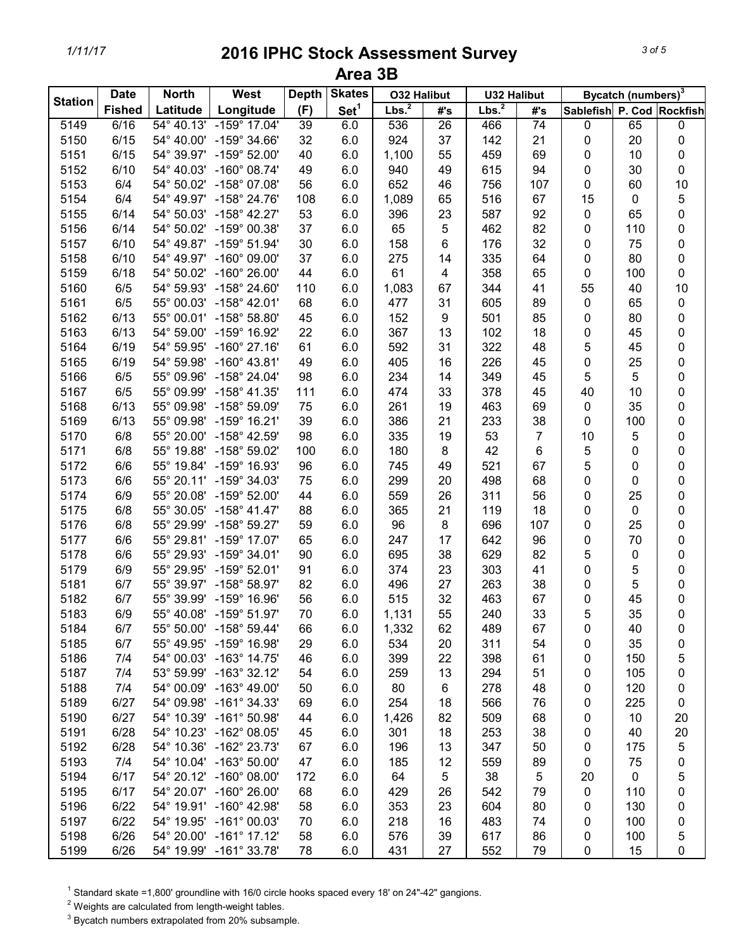|                | <b>Date</b>   | <b>North</b>        | West                    | <b>Depth</b> | <b>Skates</b>    | <b>O32 Halibut</b> |                  | <b>U32 Halibut</b> |                 |                           | Bycatch (numbers) <sup>3</sup> |             |
|----------------|---------------|---------------------|-------------------------|--------------|------------------|--------------------|------------------|--------------------|-----------------|---------------------------|--------------------------------|-------------|
| <b>Station</b> | <b>Fished</b> | Latitude            | Longitude               | (F)          | Set <sup>1</sup> | Lbs. <sup>2</sup>  | #'s              | Lbs. <sup>2</sup>  | #'s             | Sablefish P. Cod Rockfish |                                |             |
| 5149           | 6/16          | $54^{\circ} 40.13'$ | $-159^{\circ}$ 17.04'   | 39           | 6.0              | 536                | $\overline{26}$  | 466                | $\overline{74}$ | 0                         | 65                             | 0           |
| 5150           | 6/15          | 54° 40.00'          | $-159^{\circ}$ 34.66'   | 32           | 6.0              | 924                | 37               | 142                | 21              | 0                         | 20                             | 0           |
| 5151           | 6/15          | 54° 39.97'          | $-159^{\circ}$ 52.00'   | 40           | 6.0              | 1,100              | 55               | 459                | 69              | 0                         | 10                             | 0           |
| 5152           | 6/10          | 54° 40.03'          | $-160^{\circ}$ 08.74'   | 49           | 6.0              | 940                | 49               | 615                | 94              | $\pmb{0}$                 | 30                             | 0           |
| 5153           | 6/4           | 54° 50.02'          | $-158^{\circ}$ 07.08'   | 56           | 6.0              | 652                | 46               | 756                | 107             | $\mathbf 0$               | 60                             | 10          |
| 5154           | 6/4           | 54° 49.97'          | $-158^{\circ}$ 24.76'   | 108          | 6.0              | 1,089              | 65               | 516                | 67              | 15                        | 0                              | $\mathbf 5$ |
| 5155           | 6/14          | 54° 50.03'          | $-158^{\circ}$ 42.27'   | 53           | 6.0              | 396                | 23               | 587                | 92              | $\pmb{0}$                 | 65                             | 0           |
| 5156           | 6/14          | 54° 50.02'          | $-159^{\circ}$ 00.38'   | 37           | 6.0              | 65                 | 5                | 462                | 82              | $\mathbf 0$               | 110                            | 0           |
| 5157           | 6/10          | 54° 49.87'          | $-159^{\circ}$ 51.94'   | 30           | 6.0              | 158                | 6                | 176                | 32              | 0                         | 75                             | 0           |
| 5158           | 6/10          | 54° 49.97'          | $-160^{\circ}$ 09.00'   | 37           | 6.0              | 275                | 14               | 335                | 64              | 0                         | 80                             | 0           |
| 5159           | 6/18          | 54° 50.02'          | $-160^{\circ}$ 26.00'   | 44           | 6.0              | 61                 | 4                | 358                | 65              | 0                         | 100                            | 0           |
| 5160           | 6/5           | 54° 59.93'          | -158° 24.60'            | 110          | 6.0              | 1,083              | 67               | 344                | 41              | 55                        | 40                             | 10          |
| 5161           | 6/5           | 55° 00.03'          | $-158^{\circ}$ 42.01'   | 68           | 6.0              | 477                | 31               | 605                | 89              | $\pmb{0}$                 | 65                             | $\pmb{0}$   |
| 5162           | 6/13          | 55° 00.01'          | $-158^{\circ} 58.80'$   | 45           | 6.0              | 152                | $\boldsymbol{9}$ | 501                | 85              | 0                         | 80                             | 0           |
| 5163           | 6/13          | 54° 59.00'          | -159° 16.92'            | 22           | 6.0              | 367                | 13               | 102                | 18              | 0                         | 45                             | 0           |
| 5164           | 6/19          | 54° 59.95'          | $-160^{\circ}$ 27.16'   | 61           | 6.0              | 592                | 31               | 322                | 48              | 5                         | 45                             | 0           |
| 5165           | 6/19          | 54° 59.98'          | $-160^{\circ}$ 43.81'   | 49           | 6.0              | 405                | 16               | 226                | 45              | 0                         | 25                             | 0           |
| 5166           | 6/5           | 55° 09.96'          | $-158^{\circ}$ 24.04'   | 98           | 6.0              | 234                | 14               | 349                | 45              | 5                         | 5                              | 0           |
| 5167           | 6/5           | 55° 09.99'          | $-158^{\circ}$ 41.35'   | 111          | 6.0              | 474                | 33               | 378                | 45              | 40                        | 10                             | 0           |
| 5168           | 6/13          | 55° 09.98'          | -158° 59.09'            | 75           | 6.0              | 261                | 19               | 463                | 69              | $\pmb{0}$                 | 35                             | 0           |
| 5169           | 6/13          | 55° 09.98'          | $-159°$ 16.21'          | 39           | 6.0              | 386                | 21               | 233                | 38              | $\mathbf 0$               | 100                            | 0           |
| 5170           | 6/8           | 55° 20.00'          | -158° 42.59'            | 98           | 6.0              | 335                | 19               | 53                 | $\overline{7}$  | 10                        | 5                              | 0           |
| 5171           | 6/8           | 55° 19.88'          | $-158^{\circ}59.02'$    | 100          | 6.0              | 180                | 8                | 42                 | 6               | 5                         | 0                              | 0           |
| 5172           | 6/6           | 55° 19.84'          | $-159^{\circ}$ 16.93'   | 96           | 6.0              | 745                | 49               | 521                | 67              | 5                         | 0                              | 0           |
| 5173           | 6/6           |                     | 55° 20.11' -159° 34.03' | 75           | 6.0              | 299                | 20               | 498                | 68              | 0                         | 0                              | 0           |
| 5174           | 6/9           | 55° 20.08'          | -159° 52.00'            | 44           | 6.0              | 559                | 26               | 311                | 56              | 0                         | 25                             | 0           |
| 5175           | 6/8           | 55° 30.05'          | $-158^{\circ}$ 41.47'   | 88           | 6.0              | 365                | 21               | 119                | 18              | 0                         | 0                              | 0           |
| 5176           | 6/8           | 55° 29.99'          | $-158^{\circ}59.27'$    | 59           | 6.0              | 96                 | 8                | 696                | 107             | 0                         | 25                             | 0           |
| 5177           | 6/6           | 55° 29.81'          | $-159^{\circ}$ 17.07'   | 65           | 6.0              | 247                | 17               | 642                | 96              | 0                         | 70                             | 0           |
| 5178           | 6/6           | 55° 29.93'          | $-159°34.01'$           | 90           | 6.0              | 695                | 38               | 629                | 82              | 5                         | 0                              | 0           |
| 5179           | 6/9           | 55° 29.95'          | $-159^{\circ}$ 52.01'   | 91           | 6.0              | 374                | 23               | 303                | 41              | 0                         | 5                              | 0           |
| 5181           | 6/7           | 55° 39.97'          | $-158^{\circ}$ 58.97'   | 82           | 6.0              | 496                | 27               | 263                | 38              | 0                         | 5                              | 0           |
| 5182           | 6/7           | 55° 39.99'          | $-159^{\circ}$ 16.96'   | 56           | 6.0              | 515                | 32               | 463                | 67              | 0                         | 45                             | 0           |
| 5183           | 6/9           | 55° 40.08'          | $-159^{\circ}$ 51.97'   | 70           | 6.0              | 1,131              | 55               | 240                | 33              | 5                         | 35                             | 0           |
| 5184           | 6/7           |                     | 55° 50.00' -158° 59.44' | 66           | 6.0              | 1,332              | 62               | 489                | 67              | 0                         | 40                             | 0           |
| 5185           | 6/7           |                     | 55° 49.95' -159° 16.98' | 29           | 6.0              | 534                | 20               | 311                | 54              | 0                         | 35                             | 0           |
| 5186           | 7/4           |                     | 54° 00.03' -163° 14.75' | 46           | 6.0              | 399                | 22               | 398                | 61              | 0                         | 150                            | 5           |
| 5187           | 7/4           |                     | 53° 59.99' -163° 32.12' | 54           | 6.0              | 259                | 13               | 294                | 51              | 0                         | 105                            | 0           |
| 5188           | 7/4           |                     | 54° 00.09' -163° 49.00' | 50           | 6.0              | 80                 | 6                | 278                | 48              | 0                         | 120                            | 0           |
| 5189           | 6/27          |                     | 54° 09.98' -161° 34.33' | 69           | 6.0              | 254                | 18               | 566                | 76              | 0                         | 225                            | 0           |
| 5190           | 6/27          |                     | 54° 10.39' -161° 50.98' | 44           | 6.0              | 1,426              | 82               | 509                | 68              | 0                         | 10                             | 20          |
| 5191           | 6/28          |                     | 54° 10.23' -162° 08.05' | 45           | 6.0              | 301                | 18               | 253                | 38              | 0                         | 40                             | 20          |
| 5192           | 6/28          |                     | 54° 10.36' -162° 23.73' | 67           | 6.0              | 196                | 13               | 347                | 50              | 0                         | 175                            | $\sqrt{5}$  |
| 5193           | 7/4           |                     | 54° 10.04' -163° 50.00' | 47           | 6.0              | 185                | 12               | 559                | 89              | 0                         | 75                             | 0           |
| 5194           | 6/17          |                     | 54° 20.12' -160° 08.00' | 172          | 6.0              | 64                 | 5                | 38                 | 5               | 20                        | 0                              | 5           |
| 5195           | 6/17          |                     | 54° 20.07' -160° 26.00' | 68           | 6.0              | 429                | 26               | 542                | 79              | 0                         | 110                            | 0           |
| 5196           | 6/22          |                     | 54° 19.91' -160° 42.98' | 58           | 6.0              | 353                | 23               | 604                | 80              | 0                         | 130                            | 0           |
| 5197           | 6/22          |                     | 54° 19.95' -161° 00.03' | 70           | 6.0              | 218                | 16               | 483                | 74              | 0                         | 100                            | 0           |
| 5198           | 6/26          |                     | 54° 20.00' -161° 17.12' | 58           | 6.0              | 576                | 39               | 617                | 86              | 0                         | 100                            | 5           |
| 5199           | 6/26          |                     | 54° 19.99' -161° 33.78' | 78           | 6.0              | 431                | 27               | 552                | 79              | 0                         | 15                             | 0           |

 $1$  Standard skate =1,800' groundline with 16/0 circle hooks spaced every 18' on 24"-42" gangions.

 $2$  Weights are calculated from length-weight tables.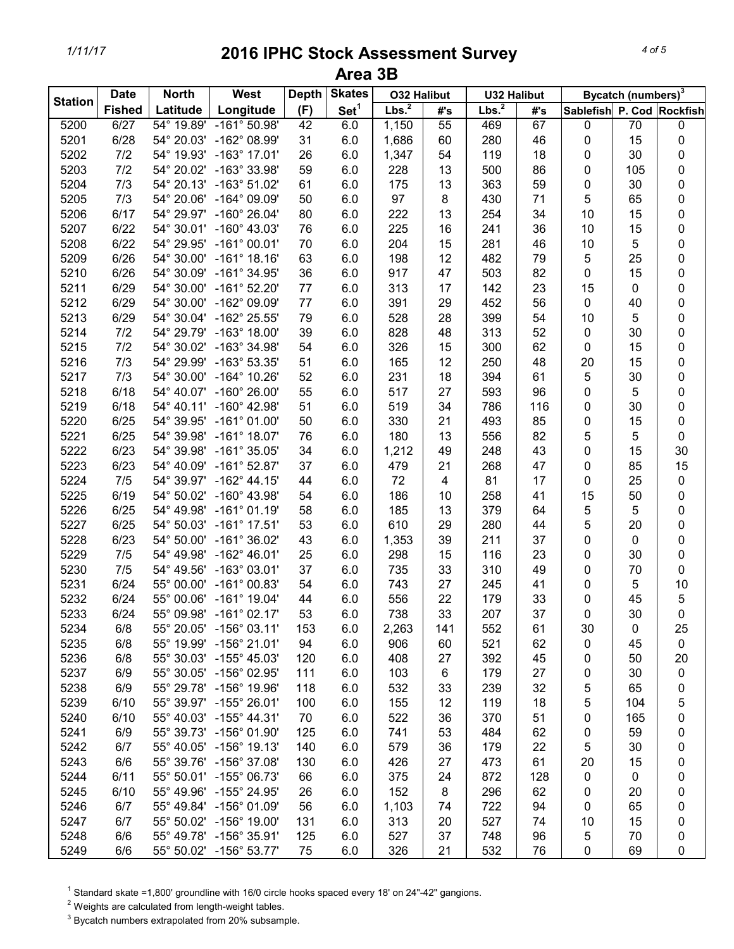| <b>Station</b> | <b>Date</b>   | <b>North</b> | West                    | <b>Depth</b> | <b>Skates</b>    | <b>O32 Halibut</b> |                         | <b>U32 Halibut</b> |     |                           | Bycatch (numbers) <sup>3</sup> |           |
|----------------|---------------|--------------|-------------------------|--------------|------------------|--------------------|-------------------------|--------------------|-----|---------------------------|--------------------------------|-----------|
|                | <b>Fished</b> | Latitude     | Longitude               | (F)          | Set <sup>1</sup> | Lbs. <sup>2</sup>  | #'s                     | Lbs. <sup>2</sup>  | #'s | Sablefish P. Cod Rockfish |                                |           |
| 5200           | 6/27          | 54° 19.89'   | $-161^{\circ} 50.98'$   | 42           | 6.0              | 1,150              | 55                      | 469                | 67  | 0                         | 70                             | $\pmb{0}$ |
| 5201           | 6/28          | 54° 20.03'   | -162° 08.99'            | 31           | 6.0              | 1,686              | 60                      | 280                | 46  | 0                         | 15                             | 0         |
| 5202           | 7/2           | 54° 19.93'   | $-163^{\circ}$ 17.01'   | 26           | 6.0              | 1,347              | 54                      | 119                | 18  | 0                         | 30                             | 0         |
| 5203           | 7/2           | 54° 20.02'   | -163° 33.98'            | 59           | 6.0              | 228                | 13                      | 500                | 86  | 0                         | 105                            | 0         |
| 5204           | 7/3           | 54° 20.13'   | $-163°51.02'$           | 61           | 6.0              | 175                | 13                      | 363                | 59  | 0                         | 30                             | 0         |
| 5205           | 7/3           | 54° 20.06'   | $-164^{\circ}$ 09.09'   | 50           | 6.0              | 97                 | 8                       | 430                | 71  | 5                         | 65                             | 0         |
| 5206           | 6/17          | 54° 29.97'   | $-160^{\circ}$ 26.04'   | 80           | 6.0              | 222                | 13                      | 254                | 34  | 10                        | 15                             | 0         |
| 5207           | 6/22          | 54° 30.01'   | $-160^{\circ}$ 43.03'   | 76           | 6.0              | 225                | 16                      | 241                | 36  | 10                        | 15                             | 0         |
| 5208           | 6/22          | 54° 29.95'   | $-161^{\circ}$ 00.01'   | 70           | 6.0              | 204                | 15                      | 281                | 46  | 10                        | 5                              | 0         |
| 5209           | 6/26          | 54° 30.00'   | $-161°$ 18.16'          | 63           | 6.0              | 198                | 12                      | 482                | 79  | 5                         | 25                             | 0         |
| 5210           | 6/26          | 54° 30.09'   | $-161^{\circ}$ 34.95'   | 36           | 6.0              | 917                | 47                      | 503                | 82  | 0                         | 15                             | 0         |
| 5211           | 6/29          | 54° 30.00'   | $-161^{\circ}$ 52.20'   | 77           | 6.0              | 313                | 17                      | 142                | 23  | 15                        | 0                              | 0         |
| 5212           | 6/29          | 54° 30.00'   | -162° 09.09'            | 77           | 6.0              | 391                | 29                      | 452                | 56  | 0                         | 40                             | 0         |
| 5213           | 6/29          | 54° 30.04'   | -162° 25.55'            | 79           | 6.0              | 528                | 28                      | 399                | 54  | 10                        | 5                              | 0         |
| 5214           | 7/2           | 54° 29.79'   | $-163^\circ$ 18.00'     | 39           | 6.0              | 828                | 48                      | 313                | 52  | $\pmb{0}$                 | 30                             | 0         |
| 5215           | 7/2           |              | 54° 30.02' -163° 34.98' | 54           | 6.0              | 326                | 15                      | 300                | 62  | 0                         | 15                             | 0         |
| 5216           | 7/3           | 54° 29.99'   | -163° 53.35'            | 51           | 6.0              | 165                | 12                      | 250                | 48  | 20                        | 15                             | 0         |
| 5217           | 7/3           | 54° 30.00'   | $-164^{\circ}$ 10.26'   | 52           | 6.0              | 231                | 18                      | 394                | 61  | 5                         | 30                             | 0         |
| 5218           | 6/18          | 54° 40.07'   | $-160^{\circ}$ 26.00'   | 55           | 6.0              | 517                | 27                      | 593                | 96  | 0                         | 5                              | 0         |
| 5219           | 6/18          | 54° 40.11'   | $-160^{\circ}$ 42.98'   | 51           | 6.0              | 519                | 34                      | 786                | 116 | 0                         | 30                             | 0         |
| 5220           | 6/25          | 54° 39.95'   | $-161^{\circ}$ 01.00'   | 50           | 6.0              | 330                | 21                      | 493                | 85  | 0                         | 15                             | 0         |
| 5221           | 6/25          | 54° 39.98'   | $-161^{\circ}$ 18.07'   | 76           | 6.0              | 180                | 13                      | 556                | 82  | 5                         | 5                              | 0         |
| 5222           | 6/23          | 54° 39.98'   | $-161^{\circ}$ 35.05'   | 34           | 6.0              | 1,212              | 49                      | 248                | 43  | 0                         | 15                             | 30        |
| 5223           | 6/23          | 54° 40.09'   | $-161^{\circ}$ 52.87'   | 37           | 6.0              | 479                | 21                      | 268                | 47  | 0                         | 85                             | 15        |
| 5224           | 7/5           | 54° 39.97'   | $-162^{\circ}$ 44.15'   | 44           | 6.0              | 72                 | $\overline{\mathbf{4}}$ | 81                 | 17  | 0                         | 25                             | 0         |
| 5225           | 6/19          | 54° 50.02'   | $-160^{\circ}$ 43.98'   | 54           | 6.0              | 186                | 10                      | 258                | 41  | 15                        | 50                             | 0         |
| 5226           | 6/25          | 54° 49.98'   | $-161°01.19'$           | 58           | 6.0              | 185                | 13                      | 379                | 64  | 5                         | 5                              | 0         |
| 5227           | 6/25          | 54° 50.03'   | $-161^{\circ}$ 17.51'   | 53           | 6.0              | 610                | 29                      | 280                | 44  | 5                         | 20                             | 0         |
| 5228           | 6/23          | 54° 50.00'   | $-161^{\circ}$ 36.02'   | 43           | 6.0              | 1,353              | 39                      | 211                | 37  | 0                         | 0                              | 0         |
| 5229           | 7/5           | 54° 49.98'   | $-162^{\circ}$ 46.01'   | 25           | 6.0              | 298                | 15                      | 116                | 23  | 0                         | 30                             | 0         |
| 5230           | 7/5           | 54° 49.56'   | $-163^{\circ}$ 03.01'   | 37           | 6.0              | 735                | 33                      | 310                | 49  | 0                         | 70                             | 0         |
| 5231           | 6/24          | 55° 00.00'   | $-161^{\circ}$ 00.83'   | 54           | 6.0              | 743                | 27                      | 245                | 41  | 0                         | 5                              | 10        |
| 5232           | 6/24          | 55° 00.06'   | $-161^{\circ}$ 19.04'   | 44           | 6.0              | 556                | 22                      | 179                | 33  | 0                         | 45                             | 5         |
| 5233           | 6/24          | 55° 09.98'   | $-161^{\circ}$ 02.17'   | 53           | 6.0              | 738                | 33                      | 207                | 37  | 0                         | 30                             | 0         |
| 5234           | 6/8           |              | 55° 20.05' -156° 03.11' | 153          | 6.0              | 2,263              | 141                     | 552                | 61  | 30                        | 0                              | 25        |
| 5235           | 6/8           |              | 55° 19.99' -156° 21.01' | 94           | 6.0              | 906                | 60                      | 521                | 62  | 0                         | 45                             | $\pmb{0}$ |
| 5236           | 6/8           |              | 55° 30.03' -155° 45.03' | 120          | 6.0              | 408                | 27                      | 392                | 45  | 0                         | 50                             | 20        |
| 5237           | 6/9           |              | 55° 30.05' -156° 02.95' | 111          | 6.0              | 103                | 6                       | 179                | 27  | 0                         | 30                             | 0         |
| 5238           | 6/9           |              | 55° 29.78' -156° 19.96' | 118          | 6.0              | 532                | 33                      | 239                | 32  | 5                         | 65                             | 0         |
| 5239           | 6/10          |              | 55° 39.97' -155° 26.01' | 100          | 6.0              | 155                | 12                      | 119                | 18  | 5                         | 104                            | 5         |
| 5240           | 6/10          |              | 55° 40.03' -155° 44.31' | 70           | 6.0              | 522                | 36                      | 370                | 51  | 0                         | 165                            | 0         |
| 5241           | 6/9           |              | 55° 39.73' -156° 01.90' | 125          | 6.0              | 741                | 53                      | 484                | 62  | 0                         | 59                             | 0         |
| 5242           | 6/7           |              | 55° 40.05' -156° 19.13' | 140          | 6.0              | 579                | 36                      | 179                | 22  | 5                         | 30                             | 0         |
| 5243           | 6/6           |              | 55° 39.76' -156° 37.08' | 130          | 6.0              | 426                | 27                      | 473                | 61  | 20                        | 15                             | 0         |
| 5244           | 6/11          |              | 55° 50.01' -155° 06.73' | 66           | 6.0              | 375                | 24                      | 872                | 128 | 0                         | 0                              | 0         |
| 5245           | 6/10          |              | 55° 49.96' -155° 24.95' | 26           | 6.0              | 152                | 8                       | 296                | 62  | 0                         | 20                             | 0         |
| 5246           | 6/7           |              | 55° 49.84' -156° 01.09' | 56           | 6.0              | 1,103              | 74                      | 722                | 94  | 0                         | 65                             | 0         |
| 5247           | 6/7           |              | 55° 50.02' -156° 19.00' | 131          | 6.0              | 313                | 20                      | 527                | 74  | 10                        | 15                             | 0         |
| 5248           | 6/6           |              | 55° 49.78' -156° 35.91' | 125          | 6.0              | 527                | 37                      | 748                | 96  | 5                         | 70                             | 0         |
| 5249           | 6/6           |              | 55° 50.02' -156° 53.77' | 75           | 6.0              | 326                | 21                      | 532                | 76  | 0                         | 69                             | 0         |

 $1$  Standard skate =1,800' groundline with 16/0 circle hooks spaced every 18' on 24"-42" gangions.

 $2$  Weights are calculated from length-weight tables.